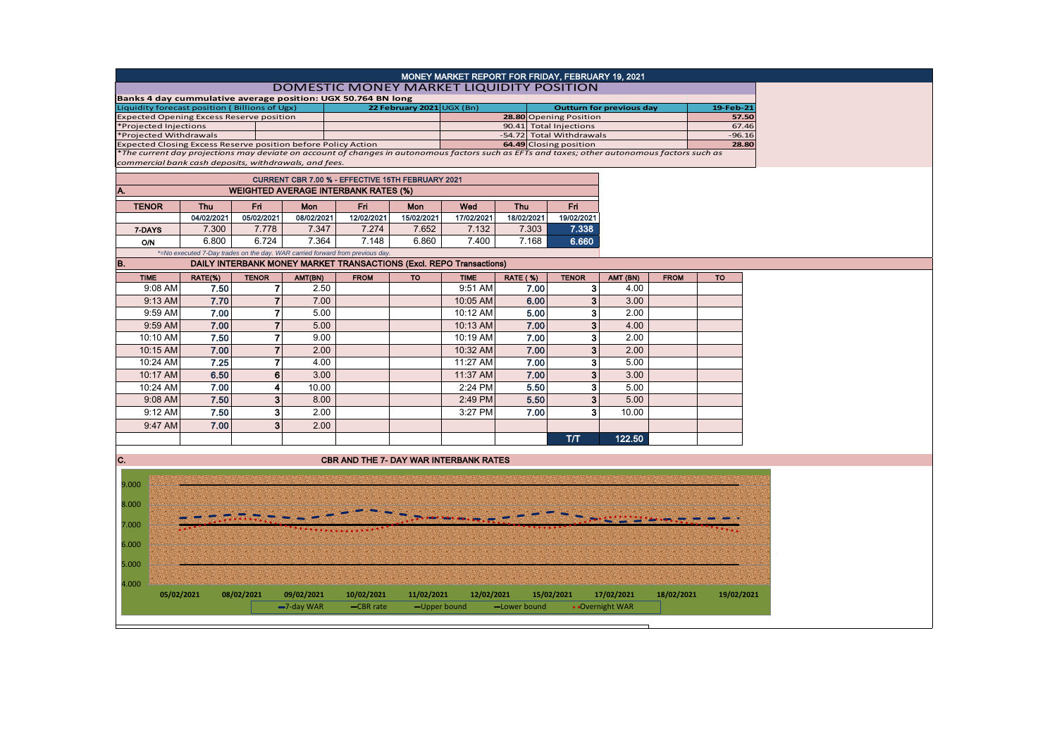|                                                                                                                                              |                                                                              |                |               |                                                                            |                           | MONEY MARKET REPORT FOR FRIDAY, FEBRUARY 19, 2021 |                                                    |                                 |                 |             |            |  |  |
|----------------------------------------------------------------------------------------------------------------------------------------------|------------------------------------------------------------------------------|----------------|---------------|----------------------------------------------------------------------------|---------------------------|---------------------------------------------------|----------------------------------------------------|---------------------------------|-----------------|-------------|------------|--|--|
| DOMESTIC MONEY MARKET LIQUIDITY POSITION                                                                                                     |                                                                              |                |               |                                                                            |                           |                                                   |                                                    |                                 |                 |             |            |  |  |
| Banks 4 day cummulative average position: UGX 50.764 BN long                                                                                 |                                                                              |                |               |                                                                            |                           |                                                   |                                                    |                                 |                 |             |            |  |  |
| Liquidity forecast position (Billions of Ugx)                                                                                                |                                                                              |                |               |                                                                            | 22 February 2021 UGX (Bn) |                                                   | 28.80 Opening Position                             | <b>Outturn for previous day</b> |                 | 19-Feb-21   |            |  |  |
| <b>Expected Opening Excess Reserve position</b>                                                                                              |                                                                              |                |               |                                                                            |                           |                                                   |                                                    | 57.50<br>67.46                  |                 |             |            |  |  |
| *Projected Injections<br>*Projected Withdrawals                                                                                              |                                                                              |                |               |                                                                            |                           |                                                   |                                                    | 90.41 Total Injections          |                 |             | $-96.16$   |  |  |
| Expected Closing Excess Reserve position before Policy Action                                                                                |                                                                              |                |               |                                                                            |                           |                                                   | -54.72 Total Withdrawals<br>64.49 Closing position |                                 |                 |             |            |  |  |
| The current day projections may deviate on account of changes in autonomous factors such as EFTs and taxes; other autonomous factors such as |                                                                              |                |               |                                                                            |                           |                                                   |                                                    |                                 |                 |             |            |  |  |
| commercial bank cash deposits, withdrawals, and fees.                                                                                        |                                                                              |                |               |                                                                            |                           |                                                   |                                                    |                                 |                 |             |            |  |  |
|                                                                                                                                              |                                                                              |                |               | CURRENT CBR 7.00 % - EFFECTIVE 15TH FEBRUARY 2021                          |                           |                                                   |                                                    |                                 |                 |             |            |  |  |
| A.                                                                                                                                           |                                                                              |                |               |                                                                            |                           |                                                   |                                                    |                                 |                 |             |            |  |  |
| <b>WEIGHTED AVERAGE INTERBANK RATES (%)</b>                                                                                                  |                                                                              |                |               |                                                                            |                           |                                                   |                                                    |                                 |                 |             |            |  |  |
| <b>TENOR</b>                                                                                                                                 | <b>Thu</b>                                                                   | Fri            | Mon           | Fri                                                                        | Mon                       | Wed                                               | <b>Thu</b>                                         | Fri.                            |                 |             |            |  |  |
|                                                                                                                                              | 04/02/2021                                                                   | 05/02/2021     | 08/02/2021    | 12/02/2021                                                                 | 15/02/2021                | 17/02/2021                                        | 18/02/2021                                         | 19/02/2021                      |                 |             |            |  |  |
| 7-DAYS                                                                                                                                       | 7.300                                                                        | 7.778          | 7.347         | 7.274                                                                      | 7.652                     | 7.132                                             | 7.303                                              | 7.338                           |                 |             |            |  |  |
| <b>O/N</b>                                                                                                                                   | 6.800                                                                        | 6.724          | 7.364         | 7.148                                                                      | 6.860                     | 7.400                                             | 7.168                                              | 6.660                           |                 |             |            |  |  |
|                                                                                                                                              | *=No executed 7-Day trades on the day. WAR carried forward from previous day |                |               |                                                                            |                           |                                                   |                                                    |                                 |                 |             |            |  |  |
| B.                                                                                                                                           |                                                                              |                |               | <b>DAILY INTERBANK MONEY MARKET TRANSACTIONS (Excl. REPO Transactions)</b> |                           |                                                   |                                                    |                                 |                 |             |            |  |  |
| <b>TIME</b>                                                                                                                                  | RATE(%)                                                                      | <b>TENOR</b>   | AMT(BN)       | <b>FROM</b>                                                                | <b>TO</b>                 | <b>TIME</b>                                       | RATE (%)                                           | <b>TENOR</b>                    | AMT (BN)        | <b>FROM</b> | <b>TO</b>  |  |  |
| 9:08 AM                                                                                                                                      | 7.50                                                                         | $\mathbf{7}$   | 2.50          |                                                                            |                           | 9:51 AM                                           | 7.00                                               | 3 <sup>1</sup>                  | 4.00            |             |            |  |  |
| 9:13 AM                                                                                                                                      | 7.70                                                                         | $\overline{7}$ | 7.00          |                                                                            |                           | 10:05 AM                                          | 6.00                                               | 3 <sup>1</sup>                  | 3.00            |             |            |  |  |
| 9:59 AM                                                                                                                                      | 7.00                                                                         | $\overline{7}$ | 5.00          |                                                                            |                           | 10:12 AM                                          | 5.00                                               | 3 <sup>1</sup>                  | 2.00            |             |            |  |  |
|                                                                                                                                              |                                                                              |                |               |                                                                            |                           |                                                   |                                                    |                                 |                 |             |            |  |  |
| 9:59 AM                                                                                                                                      | 7.00                                                                         | $\overline{7}$ | 5.00          |                                                                            |                           | 10:13 AM                                          | 7.00                                               | 3 <sup>1</sup>                  | 4.00            |             |            |  |  |
| 10:10 AM                                                                                                                                     | 7.50                                                                         | $\overline{7}$ | 9.00          |                                                                            |                           | 10:19 AM                                          | 7.00                                               | 3 <sup>1</sup>                  | 2.00            |             |            |  |  |
| 10:15 AM                                                                                                                                     | 7.00                                                                         | $\overline{7}$ | 2.00          |                                                                            |                           | 10:32 AM                                          | 7.00                                               | 3 <sup>1</sup>                  | 2.00            |             |            |  |  |
| 10:24 AM                                                                                                                                     | 7.25                                                                         | 7              | 4.00          |                                                                            |                           | 11:27 AM                                          | 7.00                                               | 3                               | 5.00            |             |            |  |  |
| 10:17 AM                                                                                                                                     | 6.50                                                                         | 6              | 3.00          |                                                                            |                           | 11:37 AM                                          | 7.00                                               | 3 <sup>1</sup>                  | 3.00            |             |            |  |  |
| 10:24 AM                                                                                                                                     | 7.00                                                                         | 4              | 10.00         |                                                                            |                           | 2:24 PM                                           | 5.50                                               | 3 <sup>1</sup>                  | 5.00            |             |            |  |  |
| 9:08 AM                                                                                                                                      | 7.50                                                                         | $\mathbf{3}$   | 8.00          |                                                                            |                           | 2:49 PM                                           | 5.50                                               | 3 <sup>1</sup>                  | 5.00            |             |            |  |  |
| 9:12 AM                                                                                                                                      | 7.50                                                                         | 3              | 2.00          |                                                                            |                           | 3:27 PM                                           | 7.00                                               | 3 <sup>1</sup>                  | 10.00           |             |            |  |  |
|                                                                                                                                              |                                                                              |                |               |                                                                            |                           |                                                   |                                                    |                                 |                 |             |            |  |  |
| 9:47 AM                                                                                                                                      | 7.00                                                                         | 3              | 2.00          |                                                                            |                           |                                                   |                                                    |                                 |                 |             |            |  |  |
|                                                                                                                                              |                                                                              |                |               |                                                                            |                           |                                                   |                                                    | T/T                             | 122.50          |             |            |  |  |
|                                                                                                                                              |                                                                              |                |               |                                                                            |                           |                                                   |                                                    |                                 |                 |             |            |  |  |
| C.                                                                                                                                           |                                                                              |                |               | <b>CBR AND THE 7- DAY WAR INTERBANK RATES</b>                              |                           |                                                   |                                                    |                                 |                 |             |            |  |  |
|                                                                                                                                              |                                                                              |                |               |                                                                            |                           |                                                   |                                                    |                                 |                 |             |            |  |  |
| 9.000                                                                                                                                        |                                                                              |                |               |                                                                            |                           |                                                   |                                                    |                                 |                 |             |            |  |  |
|                                                                                                                                              |                                                                              |                |               |                                                                            |                           |                                                   |                                                    |                                 |                 |             |            |  |  |
| 8.000                                                                                                                                        |                                                                              |                |               |                                                                            |                           |                                                   |                                                    |                                 |                 |             |            |  |  |
|                                                                                                                                              |                                                                              |                |               |                                                                            |                           |                                                   |                                                    |                                 |                 |             |            |  |  |
| 7.000                                                                                                                                        |                                                                              |                |               |                                                                            |                           |                                                   |                                                    |                                 |                 |             |            |  |  |
| 6.000                                                                                                                                        |                                                                              |                |               |                                                                            |                           |                                                   |                                                    |                                 |                 |             |            |  |  |
|                                                                                                                                              |                                                                              |                |               |                                                                            |                           |                                                   |                                                    |                                 |                 |             |            |  |  |
| 5.000                                                                                                                                        |                                                                              |                |               |                                                                            |                           |                                                   |                                                    |                                 |                 |             |            |  |  |
|                                                                                                                                              |                                                                              |                |               |                                                                            |                           |                                                   |                                                    |                                 |                 |             |            |  |  |
| 4.000                                                                                                                                        |                                                                              |                |               |                                                                            |                           |                                                   |                                                    |                                 |                 |             |            |  |  |
| 05/02/2021                                                                                                                                   |                                                                              | 08/02/2021     | 09/02/2021    | 10/02/2021                                                                 | 11/02/2021                | 12/02/2021                                        |                                                    | 15/02/2021                      | 17/02/2021      | 18/02/2021  | 19/02/2021 |  |  |
|                                                                                                                                              |                                                                              |                | $-7$ -day WAR | -CBR rate                                                                  |                           | -Upper bound                                      | -Lower bound                                       |                                 | • Overnight WAR |             |            |  |  |
|                                                                                                                                              |                                                                              |                |               |                                                                            |                           |                                                   |                                                    |                                 |                 |             |            |  |  |